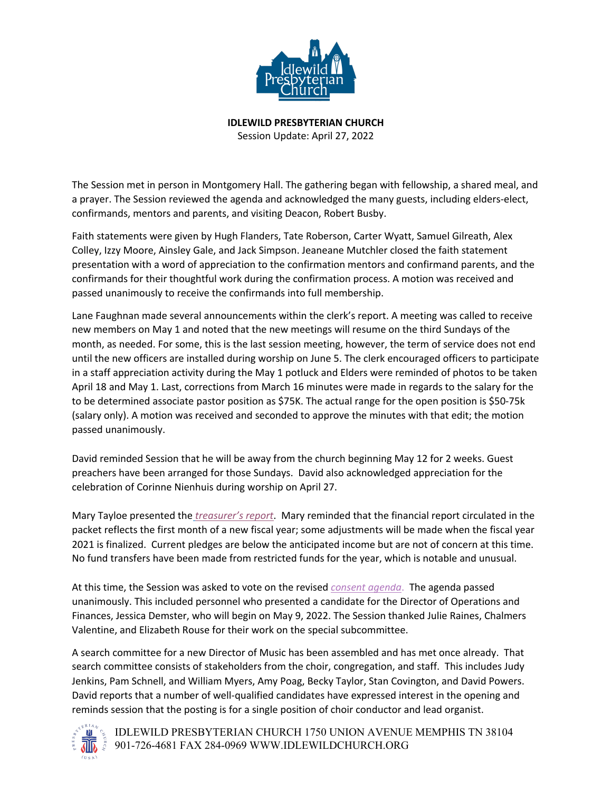

**IDLEWILD PRESBYTERIAN CHURCH** Session Update: April 27, 2022

The Session met in person in Montgomery Hall. The gathering began with fellowship, a shared meal, and

a prayer. The Session reviewed the agenda and acknowledged the many guests, including elders-elect, confirmands, mentors and parents, and visiting Deacon, Robert Busby.

Faith statements were given by Hugh Flanders, Tate Roberson, Carter Wyatt, Samuel Gilreath, Alex Colley, Izzy Moore, Ainsley Gale, and Jack Simpson. Jeaneane Mutchler closed the faith statement presentation with a word of appreciation to the confirmation mentors and confirmand parents, and the confirmands for their thoughtful work during the confirmation process. A motion was received and passed unanimously to receive the confirmands into full membership.

Lane Faughnan made several announcements within the clerk's report. A meeting was called to receive new members on May 1 and noted that the new meetings will resume on the third Sundays of the month, as needed. For some, this is the last session meeting, however, the term of service does not end until the new officers are installed during worship on June 5. The clerk encouraged officers to participate in a staff appreciation activity during the May 1 potluck and Elders were reminded of photos to be taken April 18 and May 1. Last, corrections from March 16 minutes were made in regards to the salary for the to be determined associate pastor position as \$75K. The actual range for the open position is \$50-75k (salary only). A motion was received and seconded to approve the minutes with that edit; the motion passed unanimously.

David reminded Session that he will be away from the church beginning May 12 for 2 weeks. Guest preachers have been arranged for those Sundays. David also acknowledged appreciation for the celebration of Corinne Nienhuis during worship on April 27.

Mary Tayloe presented the *[treasurer's report](https://acrobat.adobe.com/link/review?uri=urn:aaid:scds:US:32c8979b-a5f0-3f7d-8ee4-6dbe716381e2)*. Mary reminded that the financial report circulated in the packet reflects the first month of a new fiscal year; some adjustments will be made when the fiscal year 2021 is finalized. Current pledges are below the anticipated income but are not of concern at this time. No fund transfers have been made from restricted funds for the year, which is notable and unusual.

At this time, the Session was asked to vote on the revised *[consent agenda](https://acrobat.adobe.com/link/review?uri=urn:aaid:scds:US:93157808-a3cf-3b0a-b809-18cd37ee438e)*. The agenda passed unanimously. This included personnel who presented a candidate for the Director of Operations and Finances, Jessica Demster, who will begin on May 9, 2022. The Session thanked Julie Raines, Chalmers Valentine, and Elizabeth Rouse for their work on the special subcommittee.

A search committee for a new Director of Music has been assembled and has met once already. That search committee consists of stakeholders from the choir, congregation, and staff. This includes Judy Jenkins, Pam Schnell, and William Myers, Amy Poag, Becky Taylor, Stan Covington, and David Powers. David reports that a number of well-qualified candidates have expressed interest in the opening and reminds session that the posting is for a single position of choir conductor and lead organist.



IDLEWILD PRESBYTERIAN CHURCH 1750 UNION AVENUE MEMPHIS TN 38104 901-726-4681 FAX 284-0969 WWW.IDLEWILDCHURCH.ORG